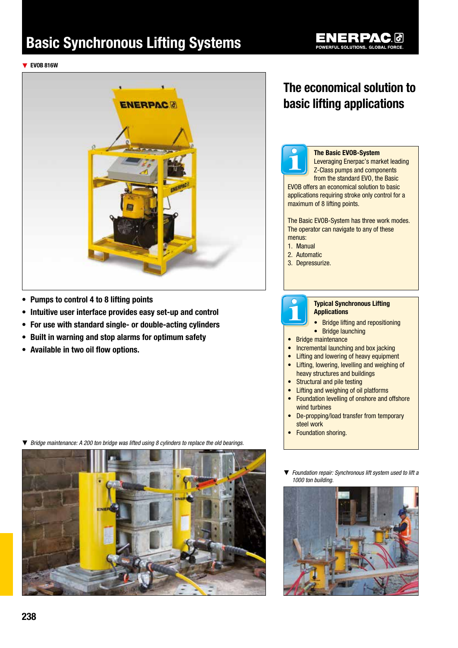# Basic Synchronous Lifting Systems



▼ EVOB 816W



- • Pumps to control 4 to 8 lifting points
- Intuitive user interface provides easy set-up and control
- For use with standard single- or double-acting cylinders
- • Built in warning and stop alarms for optimum safety
- • Available in two oil flow options.

▼ *Bridge maintenance: A 200 ton bridge was lifted using 8 cylinders to replace the old bearings.* 



# The economical solution to basic lifting applications



#### The Basic EVOB-System

Leveraging Enerpac's market leading Z-Class pumps and components from the standard EVO, the Basic EVOB offers an economical solution to basic applications requiring stroke only control for a maximum of 8 lifting points.

The Basic EVOB-System has three work modes. The operator can navigate to any of these menus:

- 1. Manual
- 2. Automatic
- 3. Depressurize.



### Typical Synchronous Lifting Applications

- Bridge lifting and repositioning
- Bridge launching
- Bridge maintenance
- Incremental launching and box jacking
- Lifting and lowering of heavy equipment
- Lifting, lowering, levelling and weighing of heavy structures and buildings
- Structural and pile testing
- Lifting and weighing of oil platforms
- Foundation levelling of onshore and offshore wind turbines
- De-propping/load transfer from temporary steel work
- Foundation shoring.
- ▼ *Foundation repair: Synchronous lift system used to lift a 1000 ton building.*

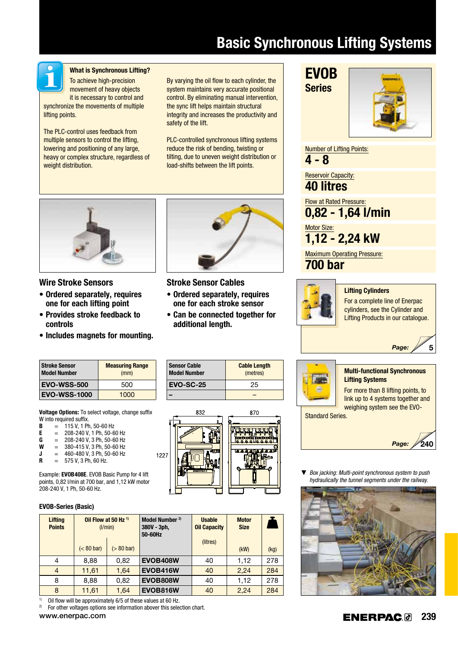# Basic Synchronous Lifting Systems



### What is Synchronous Lifting?

To achieve high-precision movement of heavy objects it is necessary to control and synchronize the movements of multiple lifting points.

The PLC-control uses feedback from multiple sensors to control the lifting, lowering and positioning of any large, heavy or complex structure, regardless of weight distribution.

By varying the oil flow to each cylinder, the system maintains very accurate positional control. By eliminating manual intervention, the sync lift helps maintain structural integrity and increases the productivity and safety of the lift.

PLC-controlled synchronous lifting systems reduce the risk of bending, twisting or tilting, due to uneven weight distribution or load-shifts between the lift points.



## Wire Stroke Sensors

- • Ordered separately, requires one for each lifting point
- • Provides stroke feedback to controls
- Includes magnets for mounting.



Stroke Sensor Cables

- Ordered separately, requires one for each stroke sensor
- • Can be connected together for additional length.

| <b>Stroke Sensor</b><br><b>Model Number</b> | <b>Measuring Range</b><br>(mm) |
|---------------------------------------------|--------------------------------|
| <b>EVO-WSS-500</b>                          | 500                            |
| <b>EVO-WSS-1000</b>                         | 1000                           |

Voltage Options: To select voltage, change suffix

- W into required suffix.<br> $\mathbf{B} = 115 \text{ V}$ . 1 Pt  $\mathbf{B} = 115 \text{ V}, 1 \text{ Ph}, 50-60 \text{ Hz}$ <br> $\mathbf{F} = 208-240 \text{ V}, 1 \text{ Ph}, 50-60 \text{ Hz}$
- $= 208 240$  V, 1 Ph, 50-60 Hz
- $G = 208-240 \text{ V}, 3 \text{ Ph}, 50-60 \text{ Hz}$ <br>  $W = 380-415 \text{ V}, 3 \text{ Ph}, 50-60 \text{ Hz}$
- $= 380 415$  V, 3 Ph, 50-60 Hz  $J = 460 - 480$  V, 3 Ph, 50-60 Hz
- 
- **R** =  $575$  V, 3 Ph, 60 Hz.

Example: EVOB408E. EVOB Basic Pump for 4 lift points, 0,82 l/min at 700 bar, and 1,12 kW motor 208-240 V, 1 Ph, 50-60 Hz.

# EVOB-Series (Basic)

| <b>Lifting</b><br><b>Points</b> | Oil Flow at 50 Hz <sup>1)</sup><br>(1/min) |              | Model Number <sup>2)</sup><br>$380V - 3ph$<br>50-60Hz | <b>Usable</b><br><b>Oil Capacity</b> | <b>Motor</b><br><b>Size</b> |      |
|---------------------------------|--------------------------------------------|--------------|-------------------------------------------------------|--------------------------------------|-----------------------------|------|
|                                 | $(< 80$ bar)                               | $(> 80$ bar) |                                                       | (litres)                             | (kW)                        | (kg) |
| 4                               | 8,88                                       | 0,82         | <b>EVOB408W</b>                                       | 40                                   | 1,12                        | 278  |
| $\overline{4}$                  | 11,61                                      | 1,64         | <b>EVOB416W</b>                                       | 40                                   | 2,24                        | 284  |
| 8                               | 8.88                                       | 0.82         | <b>EVOB808W</b>                                       | 40                                   | 1.12                        | 278  |
| 8                               | 11,61                                      | 1,64         | EVOB816W                                              | 40                                   | 2,24                        | 284  |

–

<sup>1)</sup> Oil flow will be approximately  $6/5$  of these values at  $60$  Hz.<sup>2)</sup> For other valtages options see information abover this selection 2) For other voltages options see information abover this selection chart.

| M   |
|-----|
| Li  |
| F   |
| lir |

# ulti-functional Synchronous

*Page:*

For a complete line of Enerpac cylinders, see the Cylinder and Lifting Products in our catalogue.

**ifting Systems** or more than 8 lifting points, to nk up to 4 systems together and weighing system see the EVO-

Standard Series.



5

**Box jacking: Multi-point synchronous system to push** *hydraulically the tunnel segments under the railway.*













Number of Lifting Points: 4 - 8

Reservoir Capacity:

40 litres Flow at Rated Pressure:

0,82 - 1,64 l/min

Motor Size: 1,12 - 2,24 kW

Maximum Operating Pressure:

Lifting Cylinders

700 bar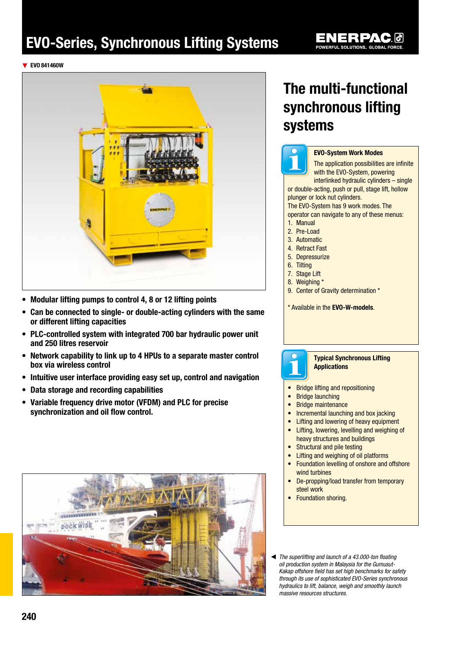# EVO-Series, Synchronous Lifting Systems

▼ EVO 841460W



- Modular lifting pumps to control 4, 8 or 12 lifting points
- Can be connected to single- or double-acting cylinders with the same or different lifting capacities
- PLC-controlled system with integrated 700 bar hydraulic power unit and 250 litres reservoir
- Network capability to link up to 4 HPUs to a separate master control box via wireless control
- Intuitive user interface providing easy set up, control and navigation
- • Data storage and recording capabilities
- Variable frequency drive motor (VFDM) and PLC for precise synchronization and oil flow control.



# The multi-functional synchronous lifting systems



### EVO-System Work Modes

The application possibilities are infinite with the EVO-System, powering interlinked hydraulic cylinders – single or double-acting, push or pull, stage lift, hollow

plunger or lock nut cylinders. The EVO-System has 9 work modes. The

operator can navigate to any of these menus:

- 1. Manual
- 2. Pre-Load
- 3. Automatic
- 4. Retract Fast
- 5. Depressurize
- 6. Tilting
- 7. Stage Lift
- 8. Weighing \*
- 9. Center of Gravity determination \*

\* Available in the EVO-W-models.



### Typical Synchronous Lifting Applications

• Bridge lifting and repositioning

- Bridge launching
- Bridge maintenance
- Incremental launching and box jacking
- Lifting and lowering of heavy equipment
- Lifting, lowering, levelling and weighing of heavy structures and buildings
- Structural and pile testing
- Lifting and weighing of oil platforms
- Foundation levelling of onshore and offshore wind turbines
- De-propping/load transfer from temporary steel work
- Foundation shoring.
- The superlifting and launch of a 43.000-ton floating *oil production system in Malaysia for the Gumusut-Kakap offshore field has set high benchmarks for safety through its use of sophisticated EVO-Series synchronous hydraulics to lift, balance, weigh and smoothly launch massive resources structures.*